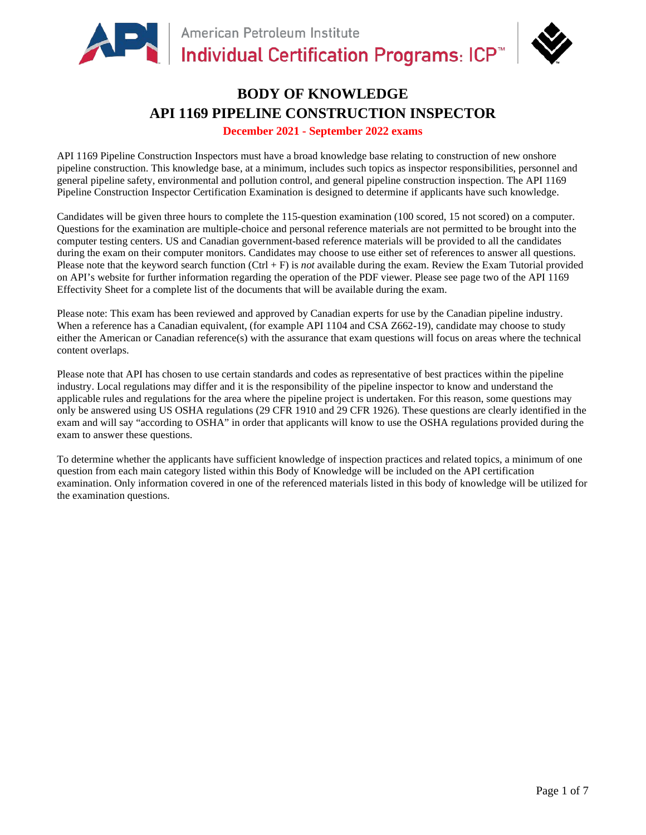

# **BODY OF KNOWLEDGE API 1169 PIPELINE CONSTRUCTION INSPECTOR**

## **December 2021 - September 2022 exams**

API 1169 Pipeline Construction Inspectors must have a broad knowledge base relating to construction of new onshore pipeline construction. This knowledge base, at a minimum, includes such topics as inspector responsibilities, personnel and general pipeline safety, environmental and pollution control, and general pipeline construction inspection. The API 1169 Pipeline Construction Inspector Certification Examination is designed to determine if applicants have such knowledge.

Candidates will be given three hours to complete the 115-question examination (100 scored, 15 not scored) on a computer. Questions for the examination are multiple-choice and personal reference materials are not permitted to be brought into the computer testing centers. US and Canadian government-based reference materials will be provided to all the candidates during the exam on their computer monitors. Candidates may choose to use either set of references to answer all questions. Please note that the keyword search function (Ctrl + F) is *not* available during the exam. Review the Exam Tutorial provided on API's website for further information regarding the operation of the PDF viewer. Please see page two of the API 1169 Effectivity Sheet for a complete list of the documents that will be available during the exam.

Please note: This exam has been reviewed and approved by Canadian experts for use by the Canadian pipeline industry. When a reference has a Canadian equivalent, (for example API 1104 and CSA Z662-19), candidate may choose to study either the American or Canadian reference(s) with the assurance that exam questions will focus on areas where the technical content overlaps.

Please note that API has chosen to use certain standards and codes as representative of best practices within the pipeline industry. Local regulations may differ and it is the responsibility of the pipeline inspector to know and understand the applicable rules and regulations for the area where the pipeline project is undertaken. For this reason, some questions may only be answered using US OSHA regulations (29 CFR 1910 and 29 CFR 1926). These questions are clearly identified in the exam and will say "according to OSHA" in order that applicants will know to use the OSHA regulations provided during the exam to answer these questions.

To determine whether the applicants have sufficient knowledge of inspection practices and related topics, a minimum of one question from each main category listed within this Body of Knowledge will be included on the API certification examination. Only information covered in one of the referenced materials listed in this body of knowledge will be utilized for the examination questions.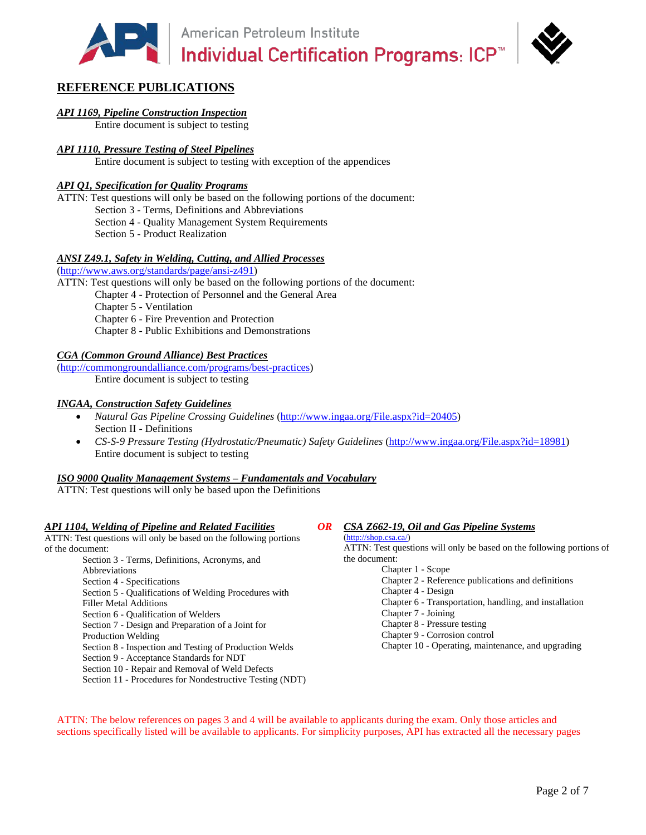American Petroleum Institute<br>
Individual Certification Programs: ICP™



# **REFERENCE PUBLICATIONS**

#### *API 1169, Pipeline Construction Inspection*

Entire document is subject to testing

### *API 1110, Pressure Testing of Steel Pipelines*

Entire document is subject to testing with exception of the appendices

#### *API Q1, Specification for Quality Programs*

ATTN: Test questions will only be based on the following portions of the document: Section 3 - Terms, Definitions and Abbreviations Section 4 - Quality Management System Requirements Section 5 - Product Realization

### *ANSI Z49.1, Safety in Welding, Cutting, and Allied Processes*

[\(http://www.aws.org/standards/page/ansi-z491\)](http://www.aws.org/standards/page/ansi-z491)

ATTN: Test questions will only be based on the following portions of the document:

Chapter 4 - Protection of Personnel and the General Area

Chapter 5 - Ventilation

Chapter 6 - Fire Prevention and Protection

Chapter 8 - Public Exhibitions and Demonstrations

#### *CGA (Common Ground Alliance) Best Practices*

[\(http://commongroundalliance.com/programs/best-practices\)](http://commongroundalliance.com/programs/best-practices) Entire document is subject to testing

#### *INGAA, Construction Safety Guidelines*

- *Natural Gas Pipeline Crossing Guidelines* [\(http://www.ingaa.org/File.aspx?id=20405\)](http://www.ingaa.org/File.aspx?id=20405) Section II - Definitions
- *CS-S-9 Pressure Testing (Hydrostatic/Pneumatic) Safety Guidelines* [\(http://www.ingaa.org/File.aspx?id=18981\)](http://www.ingaa.org/File.aspx?id=18981) Entire document is subject to testing

#### *ISO 9000 Quality Management Systems – Fundamentals and Vocabulary*

ATTN: Test questions will only be based upon the Definitions

#### *API 1104, Welding of Pipeline and Related Facilities*

ATTN: Test questions will only be based on the following portions of the document:

- Section 3 Terms, Definitions, Acronyms, and Abbreviations Section 4 - Specifications Section 5 - Qualifications of Welding Procedures with Filler Metal Additions Section 6 - Qualification of Welders Section 7 - Design and Preparation of a Joint for Production Welding Section 8 - Inspection and Testing of Production Welds
- Section 9 Acceptance Standards for NDT
- Section 10 Repair and Removal of Weld Defects
- Section 11 Procedures for Nondestructive Testing (NDT)

#### *OR CSA Z662-19, Oil and Gas Pipeline Systems*

#### [\(http://shop.csa.ca/\)](http://shop.csa.ca/)

ATTN: Test questions will only be based on the following portions of the document:

- Chapter 1 Scope
- Chapter 2 Reference publications and definitions
- Chapter 4 Design
- Chapter 6 Transportation, handling, and installation
- Chapter 7 Joining
- Chapter 8 Pressure testing
- Chapter 9 Corrosion control
- Chapter 10 Operating, maintenance, and upgrading

ATTN: The below references on pages 3 and 4 will be available to applicants during the exam. Only those articles and sections specifically listed will be available to applicants. For simplicity purposes, API has extracted all the necessary pages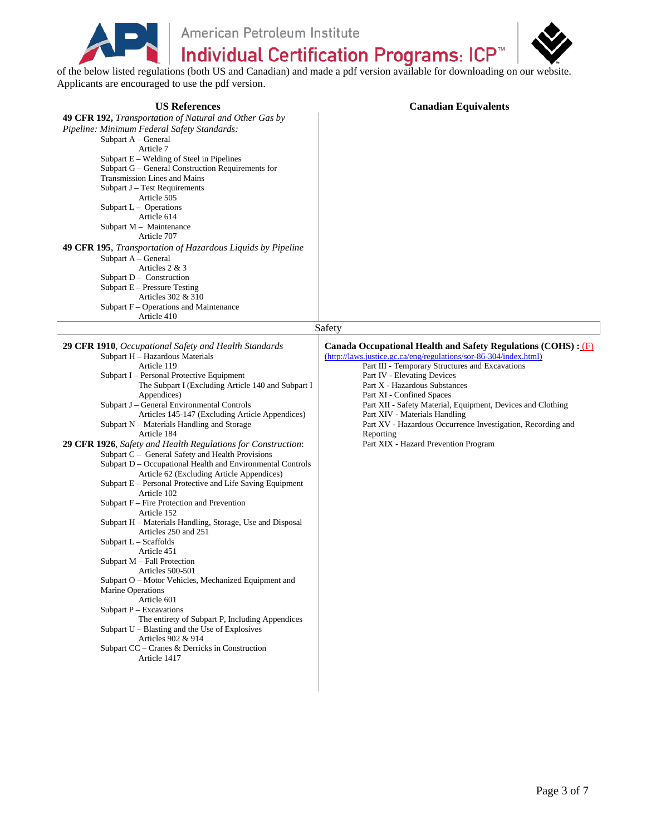American Petroleum Institute of the below listed regulations (both US and Canadian) and made a pdf version available for downloading on our website.

Applicants are encouraged to use the pdf version.

| <b>US References</b>                                                                                                                                                                                                                                                                                                                                                                                                                                                                                                                                                                                                                                                                                                                                                                                                                                                                                                                                                                                                                                                                                                                                                                                                                                                           | <b>Canadian Equivalents</b>                                                                                                                                                                                                                                                                                                                                                                                                                                                                             |  |
|--------------------------------------------------------------------------------------------------------------------------------------------------------------------------------------------------------------------------------------------------------------------------------------------------------------------------------------------------------------------------------------------------------------------------------------------------------------------------------------------------------------------------------------------------------------------------------------------------------------------------------------------------------------------------------------------------------------------------------------------------------------------------------------------------------------------------------------------------------------------------------------------------------------------------------------------------------------------------------------------------------------------------------------------------------------------------------------------------------------------------------------------------------------------------------------------------------------------------------------------------------------------------------|---------------------------------------------------------------------------------------------------------------------------------------------------------------------------------------------------------------------------------------------------------------------------------------------------------------------------------------------------------------------------------------------------------------------------------------------------------------------------------------------------------|--|
| 49 CFR 192, Transportation of Natural and Other Gas by<br>Pipeline: Minimum Federal Safety Standards:<br>Subpart A - General<br>Article 7<br>Subpart E - Welding of Steel in Pipelines<br>Subpart G - General Construction Requirements for<br>Transmission Lines and Mains<br>Subpart J - Test Requirements<br>Article 505<br>Subpart $L -$ Operations<br>Article 614<br>Subpart $M -$ Maintenance<br>Article 707<br>49 CFR 195, Transportation of Hazardous Liquids by Pipeline<br>Subpart A - General<br>Articles 2 & 3<br>Subpart $D -$ Construction<br>Subpart $E -$ Pressure Testing<br>Articles 302 & 310<br>Subpart F – Operations and Maintenance<br>Article 410                                                                                                                                                                                                                                                                                                                                                                                                                                                                                                                                                                                                      |                                                                                                                                                                                                                                                                                                                                                                                                                                                                                                         |  |
| Safety                                                                                                                                                                                                                                                                                                                                                                                                                                                                                                                                                                                                                                                                                                                                                                                                                                                                                                                                                                                                                                                                                                                                                                                                                                                                         |                                                                                                                                                                                                                                                                                                                                                                                                                                                                                                         |  |
| 29 CFR 1910, Occupational Safety and Health Standards<br>Subpart H - Hazardous Materials<br>Article 119<br>Subpart I - Personal Protective Equipment<br>The Subpart I (Excluding Article 140 and Subpart I<br>Appendices)<br>Subpart J - General Environmental Controls<br>Articles 145-147 (Excluding Article Appendices)<br>Subpart N – Materials Handling and Storage<br>Article 184<br>29 CFR 1926, Safety and Health Regulations for Construction:<br>Subpart C - General Safety and Health Provisions<br>Subpart D - Occupational Health and Environmental Controls<br>Article 62 (Excluding Article Appendices)<br>Subpart E - Personal Protective and Life Saving Equipment<br>Article 102<br>Subpart F – Fire Protection and Prevention<br>Article 152<br>Subpart H - Materials Handling, Storage, Use and Disposal<br>Articles 250 and 251<br>Subpart L - Scaffolds<br>Article 451<br>Subpart $M - Fall$ Protection<br>Articles 500-501<br>Subpart O – Motor Vehicles, Mechanized Equipment and<br><b>Marine Operations</b><br>Article 601<br>Subpart $P - Excavations$<br>The entirety of Subpart P, Including Appendices<br>Subpart U – Blasting and the Use of Explosives<br>Articles 902 & 914<br>Subpart CC – Cranes & Derricks in Construction<br>Article 1417 | Canada Occupational Health and Safety Regulations (COHS) : (F)<br>(http://laws.justice.gc.ca/eng/regulations/sor-86-304/index.html)<br>Part III - Temporary Structures and Excavations<br>Part IV - Elevating Devices<br>Part X - Hazardous Substances<br>Part XI - Confined Spaces<br>Part XII - Safety Material, Equipment, Devices and Clothing<br>Part XIV - Materials Handling<br>Part XV - Hazardous Occurrence Investigation, Recording and<br>Reporting<br>Part XIX - Hazard Prevention Program |  |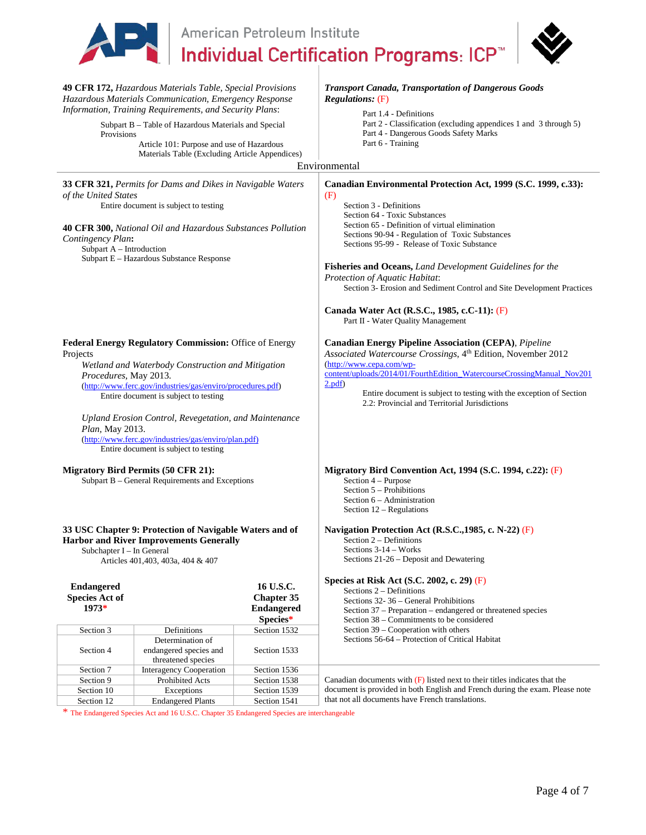|                                                                                                                                                                                                                                                                                                                                                                                                                                      | American Petroleum Institute                                                    |                                                                 |                                                                                                                                                                                                                                                                                                                                                                                                                                                                                                                                                      |  |
|--------------------------------------------------------------------------------------------------------------------------------------------------------------------------------------------------------------------------------------------------------------------------------------------------------------------------------------------------------------------------------------------------------------------------------------|---------------------------------------------------------------------------------|-----------------------------------------------------------------|------------------------------------------------------------------------------------------------------------------------------------------------------------------------------------------------------------------------------------------------------------------------------------------------------------------------------------------------------------------------------------------------------------------------------------------------------------------------------------------------------------------------------------------------------|--|
|                                                                                                                                                                                                                                                                                                                                                                                                                                      |                                                                                 |                                                                 | <b>Individual Certification Programs: ICP<sup>™</sup></b>                                                                                                                                                                                                                                                                                                                                                                                                                                                                                            |  |
| 49 CFR 172, Hazardous Materials Table, Special Provisions<br>Hazardous Materials Communication, Emergency Response<br>Information, Training Requirements, and Security Plans:<br>Subpart B - Table of Hazardous Materials and Special<br>Provisions<br>Article 101: Purpose and use of Hazardous<br>Materials Table (Excluding Article Appendices)                                                                                   |                                                                                 |                                                                 | <b>Transport Canada, Transportation of Dangerous Goods</b><br><b>Regulations:</b> (F)<br>Part 1.4 - Definitions<br>Part 2 - Classification (excluding appendices 1 and 3 through 5)<br>Part 4 - Dangerous Goods Safety Marks<br>Part 6 - Training<br>Environmental                                                                                                                                                                                                                                                                                   |  |
|                                                                                                                                                                                                                                                                                                                                                                                                                                      |                                                                                 |                                                                 |                                                                                                                                                                                                                                                                                                                                                                                                                                                                                                                                                      |  |
| 33 CFR 321, Permits for Dams and Dikes in Navigable Waters<br>of the United States<br>Entire document is subject to testing<br>40 CFR 300, National Oil and Hazardous Substances Pollution<br>Contingency Plan:<br>Subpart A - Introduction<br>Subpart E - Hazardous Substance Response                                                                                                                                              |                                                                                 |                                                                 | Canadian Environmental Protection Act, 1999 (S.C. 1999, c.33):<br>(F)<br>Section 3 - Definitions<br>Section 64 - Toxic Substances<br>Section 65 - Definition of virtual elimination<br>Sections 90-94 - Regulation of Toxic Substances<br>Sections 95-99 - Release of Toxic Substance<br>Fisheries and Oceans, Land Development Guidelines for the<br>Protection of Aquatic Habitat:<br>Section 3- Erosion and Sediment Control and Site Development Practices<br>Canada Water Act (R.S.C., 1985, c.C-11): (F)<br>Part II - Water Quality Management |  |
| Federal Energy Regulatory Commission: Office of Energy<br>Projects<br>Wetland and Waterbody Construction and Mitigation<br>Procedures, May 2013.<br>(http://www.ferc.gov/industries/gas/enviro/procedures.pdf)<br>Entire document is subject to testing<br>Upland Erosion Control, Revegetation, and Maintenance<br>Plan, May 2013.<br>(http://www.ferc.gov/industries/gas/enviro/plan.pdf)<br>Entire document is subject to testing |                                                                                 |                                                                 | <b>Canadian Energy Pipeline Association (CEPA)</b> , Pipeline<br>Associated Watercourse Crossings, 4th Edition, November 2012<br>(http://www.cepa.com/wp-<br>content/uploads/2014/01/FourthEdition_WatercourseCrossingManual_Nov201<br>2.pdf<br>Entire document is subject to testing with the exception of Section<br>2.2: Provincial and Territorial Jurisdictions                                                                                                                                                                                 |  |
| <b>Migratory Bird Permits (50 CFR 21):</b><br>Subpart B – General Requirements and Exceptions                                                                                                                                                                                                                                                                                                                                        |                                                                                 |                                                                 | Migratory Bird Convention Act, 1994 (S.C. 1994, c.22): (F)<br>Section 4 - Purpose<br>Section 5 – Prohibitions<br>Section 6 – Administration<br>Section $12$ – Regulations                                                                                                                                                                                                                                                                                                                                                                            |  |
| 33 USC Chapter 9: Protection of Navigable Waters and of<br><b>Harbor and River Improvements Generally</b><br>Subchapter I - In General<br>Articles 401,403, 403a, 404 & 407                                                                                                                                                                                                                                                          |                                                                                 |                                                                 | Navigation Protection Act (R.S.C., 1985, c. N-22) (F)<br>Section 2 – Definitions<br>Sections 3-14 - Works<br>Sections 21-26 - Deposit and Dewatering                                                                                                                                                                                                                                                                                                                                                                                                 |  |
| <b>Endangered</b><br><b>Species Act of</b><br>1973*                                                                                                                                                                                                                                                                                                                                                                                  |                                                                                 | 16 U.S.C.<br><b>Chapter 35</b><br><b>Endangered</b><br>Species* | Species at Risk Act (S.C. 2002, c. 29) $(F)$<br>Sections $2 -$ Definitions<br>Sections 32-36 - General Prohibitions<br>Section 37 - Preparation - endangered or threatened species<br>Section 38 – Commitments to be considered                                                                                                                                                                                                                                                                                                                      |  |
| Section 3<br>Section 4                                                                                                                                                                                                                                                                                                                                                                                                               | Definitions<br>Determination of<br>endangered species and<br>threatened species | Section 1532<br>Section 1533                                    | Section 39 – Cooperation with others<br>Sections 56-64 - Protection of Critical Habitat                                                                                                                                                                                                                                                                                                                                                                                                                                                              |  |
| Section 7                                                                                                                                                                                                                                                                                                                                                                                                                            | <b>Interagency Cooperation</b>                                                  | Section 1536                                                    |                                                                                                                                                                                                                                                                                                                                                                                                                                                                                                                                                      |  |
| Section 9                                                                                                                                                                                                                                                                                                                                                                                                                            | Prohibited Acts                                                                 | Section 1538                                                    | Canadian documents with $(F)$ listed next to their titles indicates that the                                                                                                                                                                                                                                                                                                                                                                                                                                                                         |  |
| Section 10                                                                                                                                                                                                                                                                                                                                                                                                                           | Exceptions                                                                      | Section 1539                                                    | document is provided in both English and French during the exam. Please note                                                                                                                                                                                                                                                                                                                                                                                                                                                                         |  |
| Section 12                                                                                                                                                                                                                                                                                                                                                                                                                           | <b>Endangered Plants</b>                                                        | Section 1541                                                    | that not all documents have French translations.                                                                                                                                                                                                                                                                                                                                                                                                                                                                                                     |  |

\* The Endangered Species Act and 16 U.S.C. Chapter 35 Endangered Species are interchangeable

Section 12 | Endangered Plants | Section 1541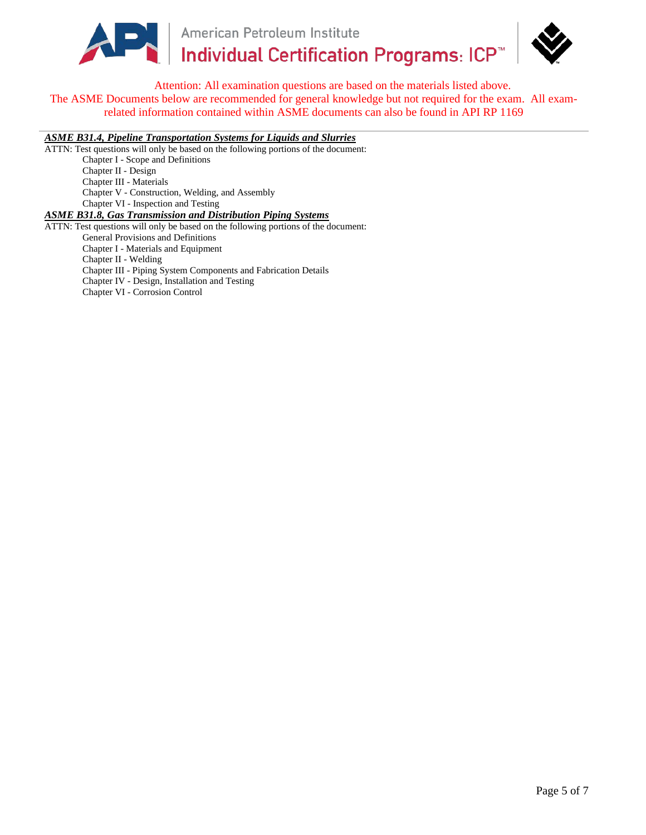

American Petroleum Institute PER | American Petroleum Institute<br>
Individual Certification Programs: ICP™



Attention: All examination questions are based on the materials listed above. The ASME Documents below are recommended for general knowledge but not required for the exam. All examrelated information contained within ASME documents can also be found in API RP 1169

*ASME B31.4, Pipeline Transportation Systems for Liquids and Slurries*

ATTN: Test questions will only be based on the following portions of the document: Chapter I - Scope and Definitions Chapter II - Design Chapter III - Materials Chapter V - Construction, Welding, and Assembly Chapter VI - Inspection and Testing *ASME B31.8, Gas Transmission and Distribution Piping Systems* 

ATTN: Test questions will only be based on the following portions of the document: General Provisions and Definitions Chapter I - Materials and Equipment Chapter II - Welding Chapter III - Piping System Components and Fabrication Details Chapter IV - Design, Installation and Testing Chapter VI - Corrosion Control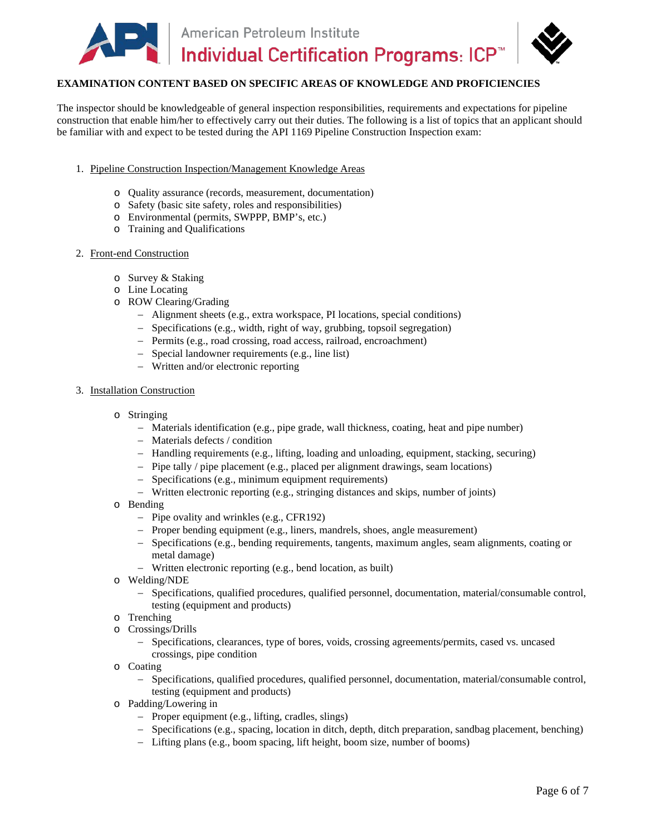

## **EXAMINATION CONTENT BASED ON SPECIFIC AREAS OF KNOWLEDGE AND PROFICIENCIES**

The inspector should be knowledgeable of general inspection responsibilities, requirements and expectations for pipeline construction that enable him/her to effectively carry out their duties. The following is a list of topics that an applicant should be familiar with and expect to be tested during the API 1169 Pipeline Construction Inspection exam:

- 1. Pipeline Construction Inspection/Management Knowledge Areas
	- o Quality assurance (records, measurement, documentation)
	- o Safety (basic site safety, roles and responsibilities)
	- o Environmental (permits, SWPPP, BMP's, etc.)
	- o Training and Qualifications

#### 2. Front-end Construction

- o Survey & Staking
- o Line Locating
- o ROW Clearing/Grading
	- − Alignment sheets (e.g., extra workspace, PI locations, special conditions)
	- − Specifications (e.g., width, right of way, grubbing, topsoil segregation)
	- − Permits (e.g., road crossing, road access, railroad, encroachment)
	- − Special landowner requirements (e.g., line list)
	- − Written and/or electronic reporting

#### 3. Installation Construction

- o Stringing
	- − Materials identification (e.g., pipe grade, wall thickness, coating, heat and pipe number)
	- − Materials defects / condition
	- − Handling requirements (e.g., lifting, loading and unloading, equipment, stacking, securing)
	- − Pipe tally / pipe placement (e.g., placed per alignment drawings, seam locations)
	- − Specifications (e.g., minimum equipment requirements)
	- − Written electronic reporting (e.g., stringing distances and skips, number of joints)
- o Bending
	- − Pipe ovality and wrinkles (e.g., CFR192)
	- − Proper bending equipment (e.g., liners, mandrels, shoes, angle measurement)
	- − Specifications (e.g., bending requirements, tangents, maximum angles, seam alignments, coating or metal damage)
	- − Written electronic reporting (e.g., bend location, as built)
- o Welding/NDE
	- − Specifications, qualified procedures, qualified personnel, documentation, material/consumable control, testing (equipment and products)
- o Trenching
- o Crossings/Drills<br>- Specification
	- − Specifications, clearances, type of bores, voids, crossing agreements/permits, cased vs. uncased crossings, pipe condition
- o Coating
	- − Specifications, qualified procedures, qualified personnel, documentation, material/consumable control, testing (equipment and products)
- o Padding/Lowering in
	- − Proper equipment (e.g., lifting, cradles, slings)
	- − Specifications (e.g., spacing, location in ditch, depth, ditch preparation, sandbag placement, benching)
	- − Lifting plans (e.g., boom spacing, lift height, boom size, number of booms)